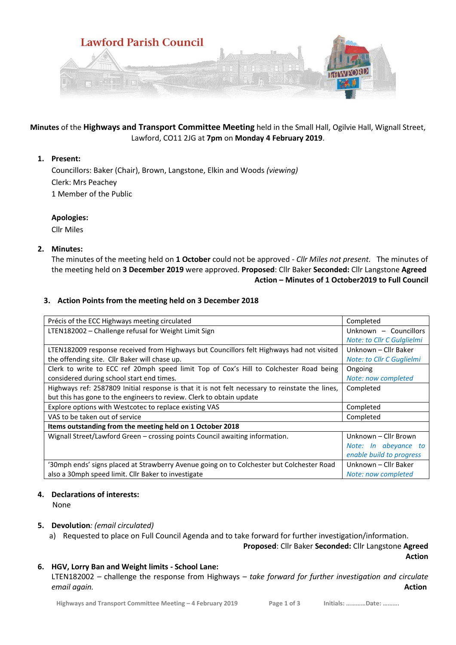

# **Minutes** of the **Highways and Transport Committee Meeting** held in the Small Hall, Ogilvie Hall, Wignall Street, Lawford, CO11 2JG at **7pm** on **Monday 4 February 2019**.

# **1. Present:**

Councillors: Baker (Chair), Brown, Langstone, Elkin and Woods *(viewing)* Clerk: Mrs Peachey 1 Member of the Public

# **Apologies:**

Cllr Miles

# **2. Minutes:**

The minutes of the meeting held on **1 October** could not be approved *- Cllr Miles not present.* The minutes of the meeting held on **3 December 2019** were approved. **Proposed**: Cllr Baker **Seconded:** Cllr Langstone **Agreed Action – Minutes of 1 October2019 to Full Council**

# **3. Action Points from the meeting held on 3 December 2018**

| Précis of the ECC Highways meeting circulated                                                   | Completed                  |
|-------------------------------------------------------------------------------------------------|----------------------------|
| LTEN182002 - Challenge refusal for Weight Limit Sign                                            | Unknown - Councillors      |
|                                                                                                 | Note: to Cllr C Gulglielmi |
| LTEN182009 response received from Highways but Councillors felt Highways had not visited        | Unknown - Cllr Baker       |
| the offending site. Cllr Baker will chase up.                                                   | Note: to Cllr C Guglielmi  |
| Clerk to write to ECC ref 20mph speed limit Top of Cox's Hill to Colchester Road being          | Ongoing                    |
| considered during school start end times.                                                       | Note: now completed        |
| Highways ref: 2587809 Initial response is that it is not felt necessary to reinstate the lines, | Completed                  |
| but this has gone to the engineers to review. Clerk to obtain update                            |                            |
| Explore options with Westcotec to replace existing VAS                                          | Completed                  |
| VAS to be taken out of service                                                                  | Completed                  |
| Items outstanding from the meeting held on 1 October 2018                                       |                            |
| Wignall Street/Lawford Green – crossing points Council awaiting information.                    | Unknown - Cllr Brown       |
|                                                                                                 | Note: In abeyance to       |
|                                                                                                 | enable build to progress   |
| '30mph ends' signs placed at Strawberry Avenue going on to Colchester but Colchester Road       | Unknown - Cllr Baker       |
| also a 30mph speed limit. Cllr Baker to investigate                                             | Note: now completed        |

### **4. Declarations of interests:**

None

### **5. Devolution***: (email circulated)*

a) Requested to place on Full Council Agenda and to take forward for further investigation/information.

**Proposed**: Cllr Baker **Seconded:** Cllr Langstone **Agreed Action**

# **6. HGV, Lorry Ban and Weight limits - School Lane:**

LTEN182002 – challenge the response from Highways – *take forward for further investigation and circulate email again.* **Action**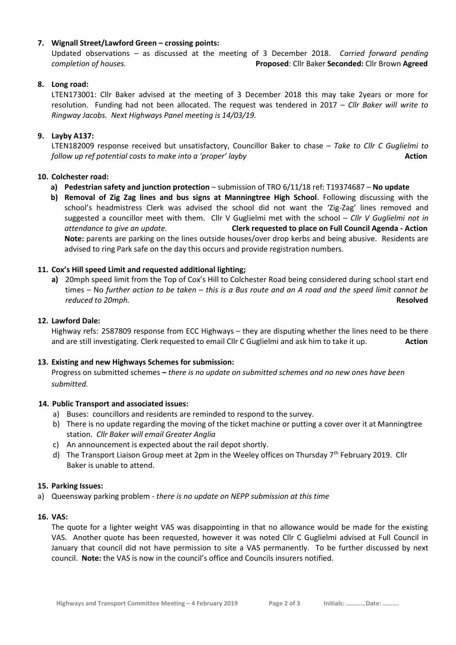# **7. Wignall Street/Lawford Green – crossing points:**

Updated observations – as discussed at the meeting of 3 December 2018. *Carried forward pending completion of houses.* **Proposed**: Cllr Baker **Seconded:** Cllr Brown **Agreed**

# **8. Long road:**

LTEN173001: Cllr Baker advised at the meeting of 3 December 2018 this may take 2years or more for resolution. Funding had not been allocated. The request was tendered in 2017 – *Cllr Baker will write to Ringway Jacobs. Next Highways Panel meeting is 14/03/19.*

# **9. Layby A137:**

LTEN182009 response received but unsatisfactory, Councillor Baker to chase *– Take to Cllr C Guglielmi to follow up ref potential costs to make into a 'proper' layby* **Action Action Action** 

### **10. Colchester road:**

- **a) Pedestrian safety and junction protection** submission of TRO 6/11/18 ref: T19374687 **No update**
- **b) Removal of Zig Zag lines and bus signs at Manningtree High School**. Following discussing with the school's headmistress Clerk was advised the school did not want the 'Zig-Zag' lines removed and suggested a councillor meet with them. Cllr V Guglielmi met with the school – *Cllr V Guglielmi not in attendance to give an update.* **Clerk requested to place on Full Council Agenda - Action Note:** parents are parking on the lines outside houses/over drop kerbs and being abusive. Residents are advised to ring Park safe on the day this occurs and provide registration numbers.

### **11. Cox's Hill speed Limit and requested additional lighting;**

**a)** 20mph speed limit from the Top of Cox's Hill to Colchester Road being considered during school start end times – No *further action to be taken – this is a Bus route and an A road and the speed limit cannot be reduced to 20mph.* **Resolved**

### **12. Lawford Dale:**

Highway refs: 2587809 response from ECC Highways – they are disputing whether the lines need to be there and are still investigating. Clerk requested to email Cllr C Guglielmi and ask him to take it up. **Action**

### **13. Existing and new Highways Schemes for submission:**

Progress on submitted schemes **–** *there is no update on submitted schemes and no new ones have been submitted.*

### **14. Public Transport and associated issues:**

- a) Buses: councillors and residents are reminded to respond to the survey.
- b) There is no update regarding the moving of the ticket machine or putting a cover over it at Manningtree station. *Cllr Baker will email Greater Anglia*
- c) An announcement is expected about the rail depot shortly.
- d) The Transport Liaison Group meet at 2pm in the Weeley offices on Thursday 7<sup>th</sup> February 2019. Cllr Baker is unable to attend.

#### **15. Parking Issues:**

a) Queensway parking problem - *there is no update on NEPP submission at this time*

#### **16. VAS:**

The quote for a lighter weight VAS was disappointing in that no allowance would be made for the existing VAS. Another quote has been requested, however it was noted Cllr C Guglielmi advised at Full Council in January that council did not have permission to site a VAS permanently. To be further discussed by next council. **Note:** the VAS is now in the council's office and Councils insurers notified.